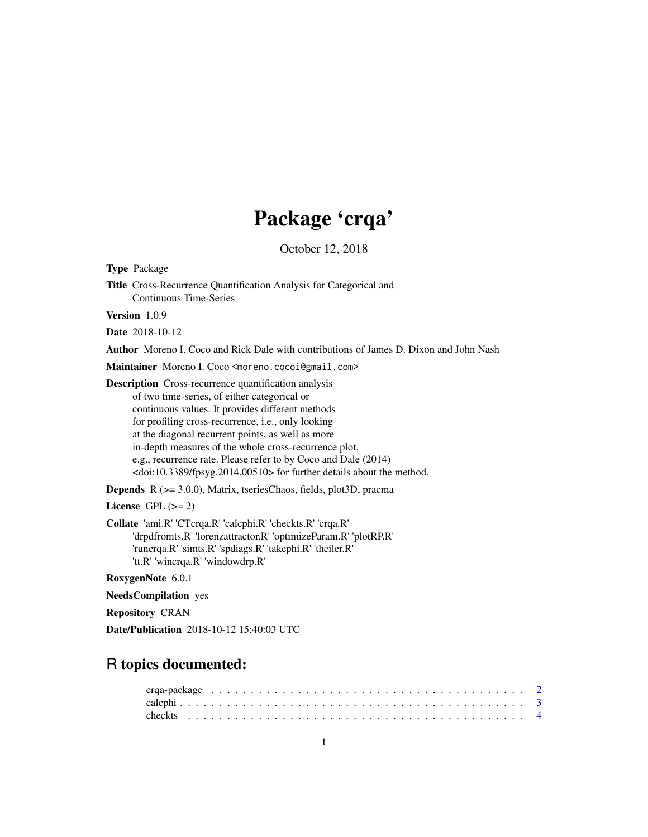## Package 'crqa'

October 12, 2018

| <b>Type Package</b>                                                                                                                                                                                                                                                                                                                                                                                                                                                                            |
|------------------------------------------------------------------------------------------------------------------------------------------------------------------------------------------------------------------------------------------------------------------------------------------------------------------------------------------------------------------------------------------------------------------------------------------------------------------------------------------------|
| <b>Title</b> Cross-Recurrence Quantification Analysis for Categorical and<br><b>Continuous Time-Series</b>                                                                                                                                                                                                                                                                                                                                                                                     |
| <b>Version</b> $1.0.9$                                                                                                                                                                                                                                                                                                                                                                                                                                                                         |
| <b>Date</b> 2018-10-12                                                                                                                                                                                                                                                                                                                                                                                                                                                                         |
| <b>Author</b> Moreno I. Coco and Rick Dale with contributions of James D. Dixon and John Nash                                                                                                                                                                                                                                                                                                                                                                                                  |
| Maintainer Moreno I. Coco <moreno.cocoi@gmail.com></moreno.cocoi@gmail.com>                                                                                                                                                                                                                                                                                                                                                                                                                    |
| <b>Description</b> Cross-recurrence quantification analysis<br>of two time-series, of either categorical or<br>continuous values. It provides different methods<br>for profiling cross-recurrence, i.e., only looking<br>at the diagonal recurrent points, as well as more<br>in-depth measures of the whole cross-recurrence plot,<br>e.g., recurrence rate. Please refer to by Coco and Dale (2014)<br><doi:10.3389 fpsyg.2014.00510=""> for further details about the method.</doi:10.3389> |
| <b>Depends</b> $R$ ( $>= 3.0.0$ ), Matrix, tseriesChaos, fields, plot3D, pracma                                                                                                                                                                                                                                                                                                                                                                                                                |
| License GPL $(>= 2)$                                                                                                                                                                                                                                                                                                                                                                                                                                                                           |
| Collate 'ami.R' 'CTcrqa.R' 'calcphi.R' 'checkts.R' 'crqa.R'<br>'drpdfromts.R' 'lorenzattractor.R' 'optimizeParam.R' 'plotRP.R'<br>'runcrqa.R' 'simts.R' 'spdiags.R' 'takephi.R' 'theiler.R'<br>'tt.R' 'wincrqa.R' 'windowdrp.R'                                                                                                                                                                                                                                                                |
| RoxygenNote 6.0.1                                                                                                                                                                                                                                                                                                                                                                                                                                                                              |

NeedsCompilation yes

Repository CRAN

Date/Publication 2018-10-12 15:40:03 UTC

### R topics documented: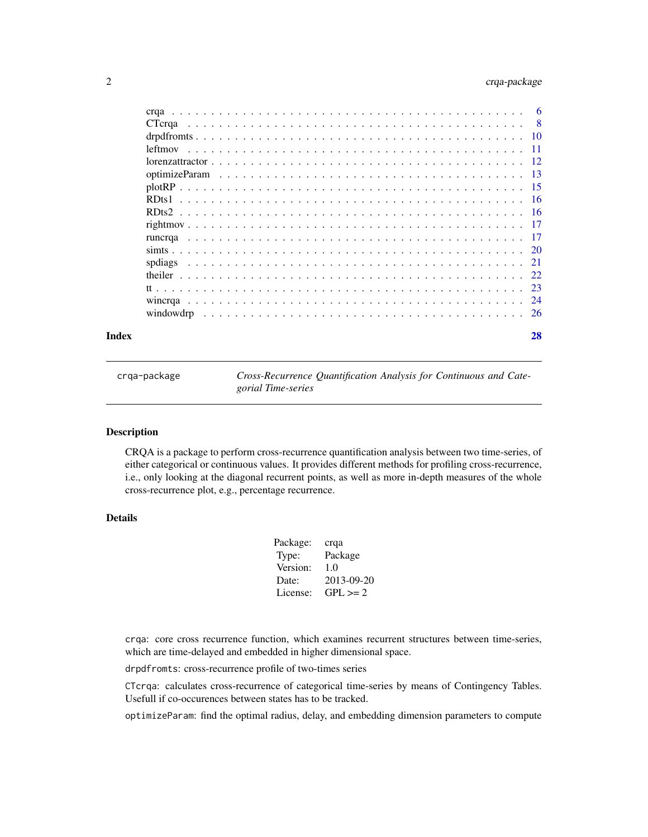#### <span id="page-1-0"></span>2 crqa-package

| 28 |
|----|

crqa-package *Cross-Recurrence Quantification Analysis for Continuous and Categorial Time-series*

#### Description

CRQA is a package to perform cross-recurrence quantification analysis between two time-series, of either categorical or continuous values. It provides different methods for profiling cross-recurrence, i.e., only looking at the diagonal recurrent points, as well as more in-depth measures of the whole cross-recurrence plot, e.g., percentage recurrence.

#### Details

| Package: | crqa         |
|----------|--------------|
| Type:    | Package      |
| Version: | 1.0          |
| Date:    | 2013-09-20   |
| License: | $GPL \geq 2$ |
|          |              |

crqa: core cross recurrence function, which examines recurrent structures between time-series, which are time-delayed and embedded in higher dimensional space.

drpdfromts: cross-recurrence profile of two-times series

CTcrqa: calculates cross-recurrence of categorical time-series by means of Contingency Tables. Usefull if co-occurences between states has to be tracked.

optimizeParam: find the optimal radius, delay, and embedding dimension parameters to compute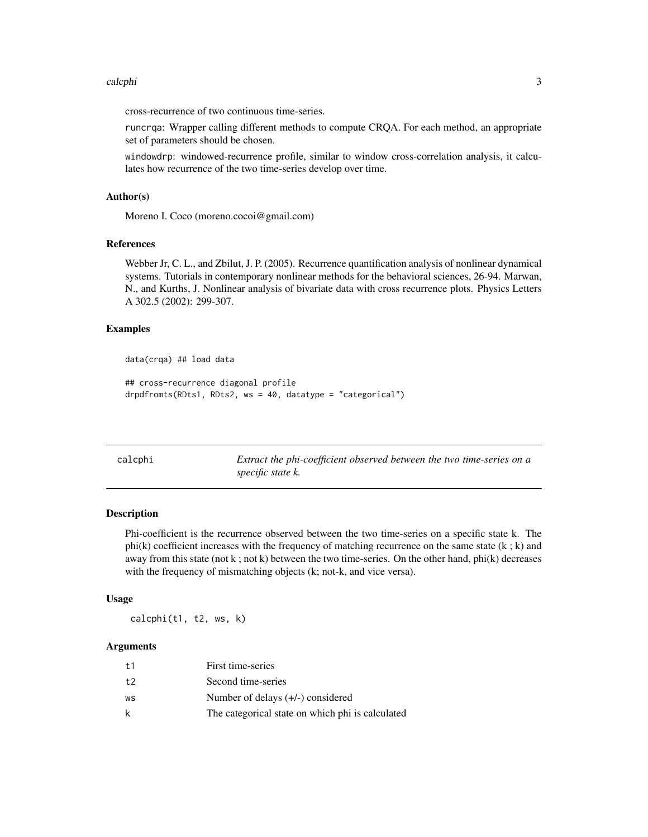#### <span id="page-2-0"></span>calcphi 3

cross-recurrence of two continuous time-series.

runcrqa: Wrapper calling different methods to compute CRQA. For each method, an appropriate set of parameters should be chosen.

windowdrp: windowed-recurrence profile, similar to window cross-correlation analysis, it calculates how recurrence of the two time-series develop over time.

#### Author(s)

Moreno I. Coco (moreno.cocoi@gmail.com)

#### References

Webber Jr, C. L., and Zbilut, J. P. (2005). Recurrence quantification analysis of nonlinear dynamical systems. Tutorials in contemporary nonlinear methods for the behavioral sciences, 26-94. Marwan, N., and Kurths, J. Nonlinear analysis of bivariate data with cross recurrence plots. Physics Letters A 302.5 (2002): 299-307.

#### Examples

```
data(crqa) ## load data
```

```
## cross-recurrence diagonal profile
drpdfromts(RDts1, RDts2, ws = 40, datatype = "categorical")
```
<span id="page-2-1"></span>

| calcphi | Extract the phi-coefficient observed between the two time-series on a |
|---------|-----------------------------------------------------------------------|
|         | <i>specific state k.</i>                                              |

#### Description

Phi-coefficient is the recurrence observed between the two time-series on a specific state k. The  $phi(k)$  coefficient increases with the frequency of matching recurrence on the same state  $(k; k)$  and away from this state (not  $k$ ; not  $k$ ) between the two time-series. On the other hand, phi $(k)$  decreases with the frequency of mismatching objects (k; not-k, and vice versa).

#### Usage

calcphi(t1, t2, ws, k)

| t1 | First time-series                                |
|----|--------------------------------------------------|
| t2 | Second time-series                               |
| WS | Number of delays $(+/-)$ considered              |
| k  | The categorical state on which phi is calculated |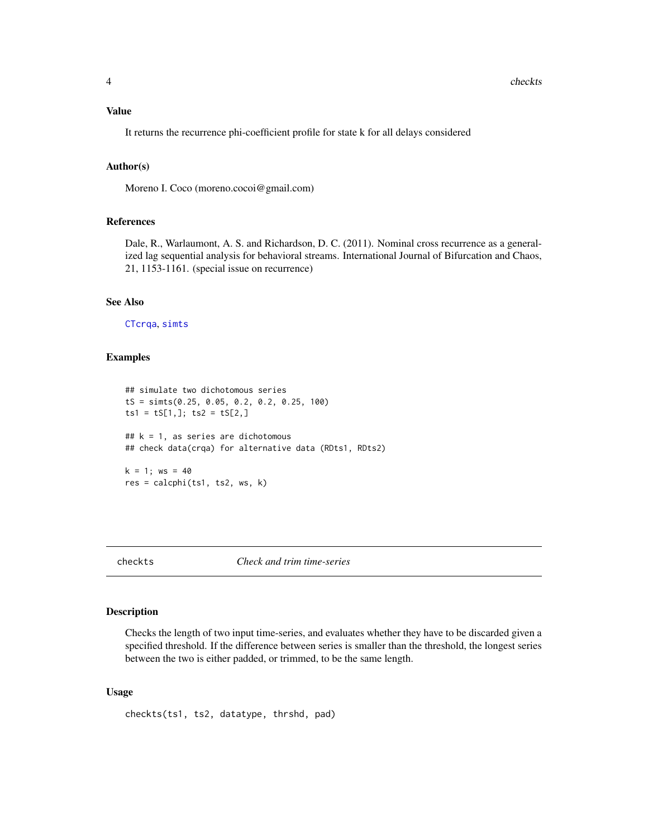#### <span id="page-3-0"></span>Value

It returns the recurrence phi-coefficient profile for state k for all delays considered

#### Author(s)

Moreno I. Coco (moreno.cocoi@gmail.com)

#### References

Dale, R., Warlaumont, A. S. and Richardson, D. C. (2011). Nominal cross recurrence as a generalized lag sequential analysis for behavioral streams. International Journal of Bifurcation and Chaos, 21, 1153-1161. (special issue on recurrence)

#### See Also

[CTcrqa](#page-7-1), [simts](#page-19-1)

#### Examples

```
## simulate two dichotomous series
tS = simts(0.25, 0.05, 0.2, 0.2, 0.25, 100)
ts1 = tS[1,]; ts2 = tS[2,]## k = 1, as series are dichotomous
## check data(crqa) for alternative data (RDts1, RDts2)
k = 1; ws = 40
res = calcphi(ts1, ts2, ws, k)
```
<span id="page-3-1"></span>checkts *Check and trim time-series*

#### Description

Checks the length of two input time-series, and evaluates whether they have to be discarded given a specified threshold. If the difference between series is smaller than the threshold, the longest series between the two is either padded, or trimmed, to be the same length.

#### Usage

checkts(ts1, ts2, datatype, thrshd, pad)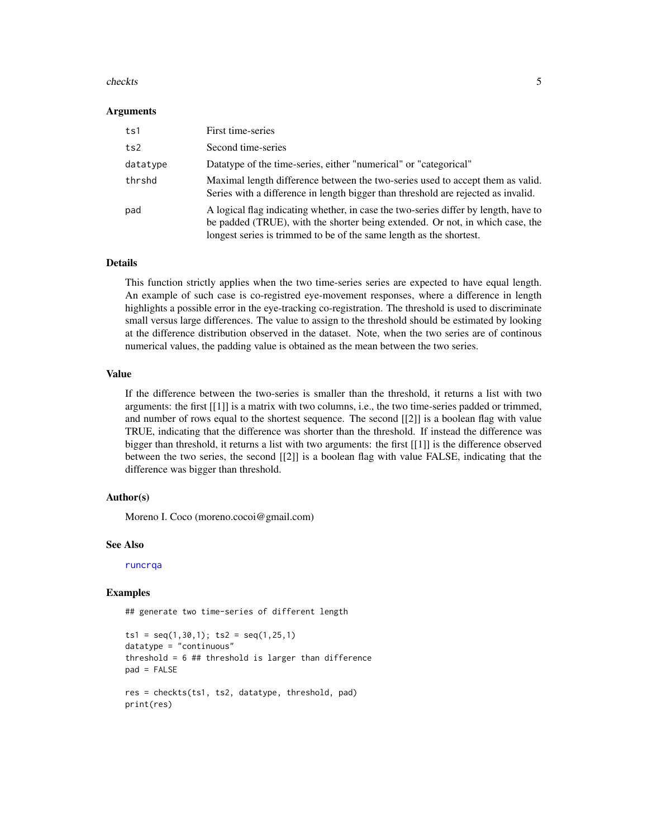#### <span id="page-4-0"></span>checkts 5

#### Arguments

| ts1      | First time-series                                                                                                                                                                                                                           |
|----------|---------------------------------------------------------------------------------------------------------------------------------------------------------------------------------------------------------------------------------------------|
| ts2      | Second time-series                                                                                                                                                                                                                          |
| datatype | Datatype of the time-series, either "numerical" or "categorical"                                                                                                                                                                            |
| thrshd   | Maximal length difference between the two-series used to accept them as valid.<br>Series with a difference in length bigger than threshold are rejected as invalid.                                                                         |
| pad      | A logical flag indicating whether, in case the two-series differ by length, have to<br>be padded (TRUE), with the shorter being extended. Or not, in which case, the<br>longest series is trimmed to be of the same length as the shortest. |

#### Details

This function strictly applies when the two time-series series are expected to have equal length. An example of such case is co-registred eye-movement responses, where a difference in length highlights a possible error in the eye-tracking co-registration. The threshold is used to discriminate small versus large differences. The value to assign to the threshold should be estimated by looking at the difference distribution observed in the dataset. Note, when the two series are of continous numerical values, the padding value is obtained as the mean between the two series.

#### Value

If the difference between the two-series is smaller than the threshold, it returns a list with two arguments: the first [[1]] is a matrix with two columns, i.e., the two time-series padded or trimmed, and number of rows equal to the shortest sequence. The second [[2]] is a boolean flag with value TRUE, indicating that the difference was shorter than the threshold. If instead the difference was bigger than threshold, it returns a list with two arguments: the first [[1]] is the difference observed between the two series, the second [[2]] is a boolean flag with value FALSE, indicating that the difference was bigger than threshold.

#### Author(s)

Moreno I. Coco (moreno.cocoi@gmail.com)

#### See Also

[runcrqa](#page-16-1)

#### Examples

## generate two time-series of different length

```
ts1 = seq(1, 30, 1); ts2 = seq(1, 25, 1)datatype = "continuous"
threshold = 6 ## threshold is larger than difference
pad = FALSE
res = checkts(ts1, ts2, datatype, threshold, pad)
print(res)
```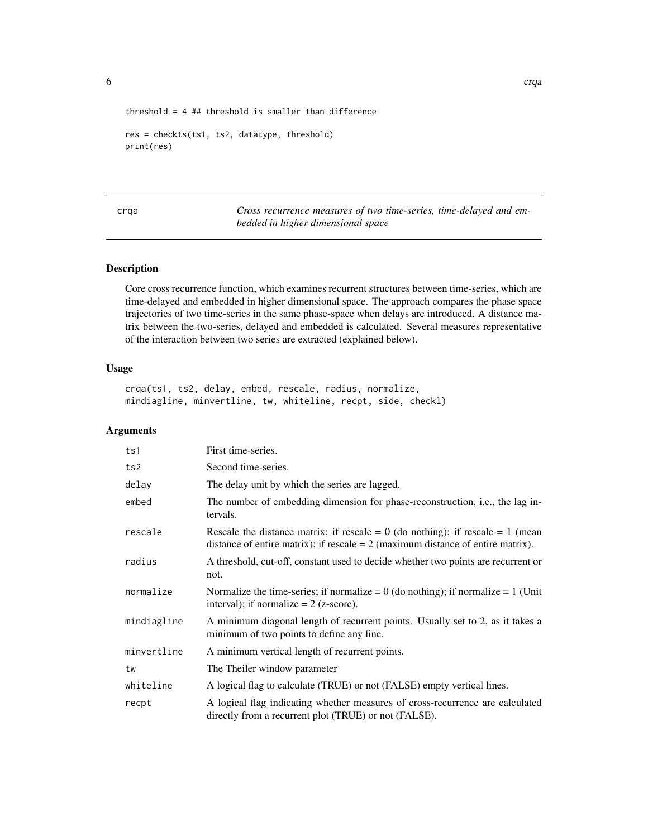```
threshold = 4 ## threshold is smaller than difference
```

```
res = checkts(ts1, ts2, datatype, threshold)
print(res)
```
<span id="page-5-1"></span>crqa *Cross recurrence measures of two time-series, time-delayed and embedded in higher dimensional space*

#### Description

Core cross recurrence function, which examines recurrent structures between time-series, which are time-delayed and embedded in higher dimensional space. The approach compares the phase space trajectories of two time-series in the same phase-space when delays are introduced. A distance matrix between the two-series, delayed and embedded is calculated. Several measures representative of the interaction between two series are extracted (explained below).

#### Usage

crqa(ts1, ts2, delay, embed, rescale, radius, normalize, mindiagline, minvertline, tw, whiteline, recpt, side, checkl)

| ts1         | First time-series.                                                                                                                                                      |
|-------------|-------------------------------------------------------------------------------------------------------------------------------------------------------------------------|
| ts2         | Second time-series.                                                                                                                                                     |
| delay       | The delay unit by which the series are lagged.                                                                                                                          |
| embed       | The number of embedding dimension for phase-reconstruction, <i>i.e.</i> , the lag in-<br>tervals.                                                                       |
| rescale     | Rescale the distance matrix; if rescale = $0$ (do nothing); if rescale = $1$ (mean<br>distance of entire matrix); if rescale $= 2$ (maximum distance of entire matrix). |
| radius      | A threshold, cut-off, constant used to decide whether two points are recurrent or<br>not.                                                                               |
| normalize   | Normalize the time-series; if normalize = $0$ (do nothing); if normalize = $1$ (Unit<br>interval); if normalize $= 2$ (z-score).                                        |
| mindiagline | A minimum diagonal length of recurrent points. Usually set to 2, as it takes a<br>minimum of two points to define any line.                                             |
| minvertline | A minimum vertical length of recurrent points.                                                                                                                          |
| tw          | The Theiler window parameter                                                                                                                                            |
| whiteline   | A logical flag to calculate (TRUE) or not (FALSE) empty vertical lines.                                                                                                 |
| recpt       | A logical flag indicating whether measures of cross-recurrence are calculated<br>directly from a recurrent plot (TRUE) or not (FALSE).                                  |

<span id="page-5-0"></span>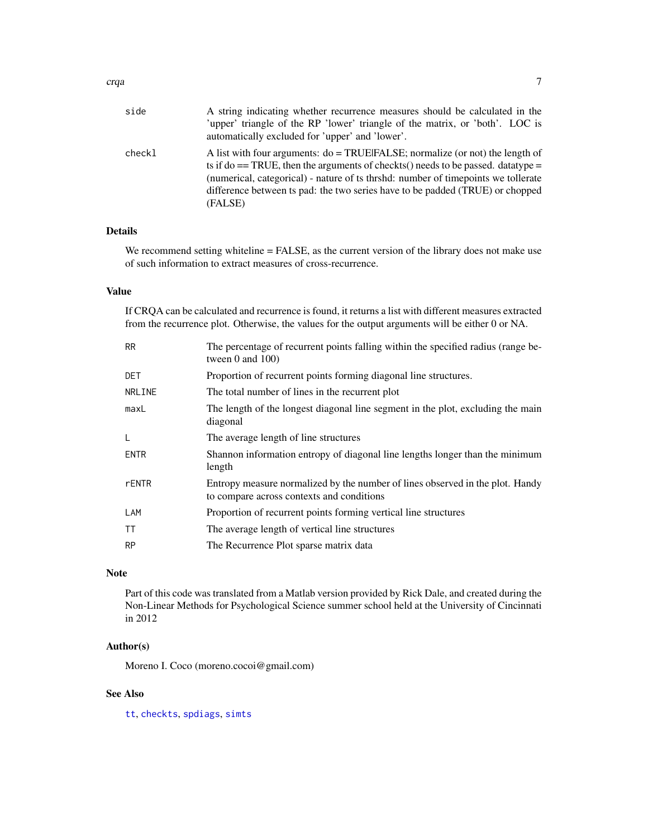<span id="page-6-0"></span>

| side   | A string indicating whether recurrence measures should be calculated in the           |
|--------|---------------------------------------------------------------------------------------|
|        | 'upper' triangle of the RP 'lower' triangle of the matrix, or 'both'. LOC is          |
|        | automatically excluded for 'upper' and 'lower'.                                       |
| checkl | A list with four arguments: $do = TRUE[FALSE; normalize (or not) the length of$       |
|        | ts if do $==$ TRUE, then the arguments of checkts() needs to be passed. data type $=$ |
|        | (numerical, categorical) - nature of ts thrshd: number of timepoints we tollerate     |
|        | difference between ts pad: the two series have to be padded (TRUE) or chopped         |
|        | (FALSE)                                                                               |

#### Details

We recommend setting whiteline = FALSE, as the current version of the library does not make use of such information to extract measures of cross-recurrence.

#### Value

If CRQA can be calculated and recurrence is found, it returns a list with different measures extracted from the recurrence plot. Otherwise, the values for the output arguments will be either 0 or NA.

| <b>RR</b>   | The percentage of recurrent points falling within the specified radius (range be-<br>tween $0$ and $100$ )                 |
|-------------|----------------------------------------------------------------------------------------------------------------------------|
| DET         | Proportion of recurrent points forming diagonal line structures.                                                           |
| NRLINE      | The total number of lines in the recurrent plot                                                                            |
| maxL        | The length of the longest diagonal line segment in the plot, excluding the main<br>diagonal                                |
| L           | The average length of line structures                                                                                      |
| <b>ENTR</b> | Shannon information entropy of diagonal line lengths longer than the minimum<br>length                                     |
| rENTR       | Entropy measure normalized by the number of lines observed in the plot. Handy<br>to compare across contexts and conditions |
| LAM         | Proportion of recurrent points forming vertical line structures                                                            |
| <b>TT</b>   | The average length of vertical line structures                                                                             |
| <b>RP</b>   | The Recurrence Plot sparse matrix data                                                                                     |
|             |                                                                                                                            |

#### Note

Part of this code was translated from a Matlab version provided by Rick Dale, and created during the Non-Linear Methods for Psychological Science summer school held at the University of Cincinnati in 2012

#### Author(s)

Moreno I. Coco (moreno.cocoi@gmail.com)

#### See Also

[tt](#page-22-1), [checkts](#page-3-1), [spdiags](#page-20-1), [simts](#page-19-1)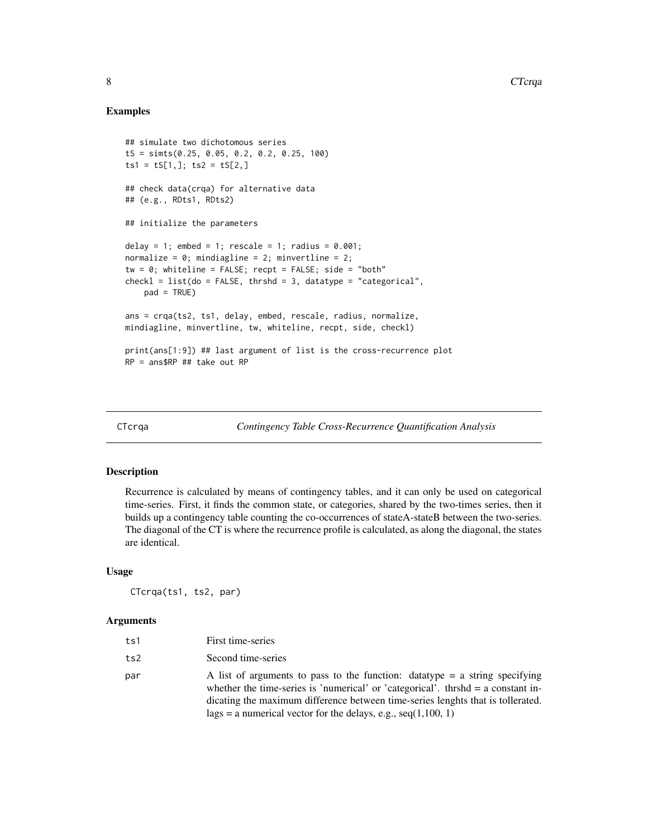#### Examples

```
## simulate two dichotomous series
tS = simts(0.25, 0.05, 0.2, 0.2, 0.25, 100)
ts1 = tS[1,]; ts2 = tS[2,]## check data(crqa) for alternative data
## (e.g., RDts1, RDts2)
## initialize the parameters
delay = 1; embed = 1; rescale = 1; radius = 0.001;
normalize = 0; mindiagline = 2; minvertline = 2;
tw = 0; whiteline = FALSE; recpt = FALSE; side = "both"
check1 = list(do = FALSE, thrshd = 3, datatype = "categorical",pad = TRUE)
ans = crqa(ts2, ts1, delay, embed, rescale, radius, normalize,
mindiagline, minvertline, tw, whiteline, recpt, side, checkl)
print(ans[1:9]) ## last argument of list is the cross-recurrence plot
RP = ans$RP ## take out RP
```
<span id="page-7-1"></span>

CTcrqa *Contingency Table Cross-Recurrence Quantification Analysis*

#### Description

Recurrence is calculated by means of contingency tables, and it can only be used on categorical time-series. First, it finds the common state, or categories, shared by the two-times series, then it builds up a contingency table counting the co-occurrences of stateA-stateB between the two-series. The diagonal of the CT is where the recurrence profile is calculated, as along the diagonal, the states are identical.

#### Usage

CTcrqa(ts1, ts2, par)

| ts1 | First time-series                                                                                                                                                                                                                                                                                                             |
|-----|-------------------------------------------------------------------------------------------------------------------------------------------------------------------------------------------------------------------------------------------------------------------------------------------------------------------------------|
| ts2 | Second time-series                                                                                                                                                                                                                                                                                                            |
| par | A list of arguments to pass to the function: data type $=$ a string specifying<br>whether the time-series is 'numerical' or 'categorical'. thrshd $=$ a constant in-<br>dicating the maximum difference between time-series lenghts that is tollerated.<br>$lags = a$ numerical vector for the delays, e.g., seq $(1,100, 1)$ |

<span id="page-7-0"></span>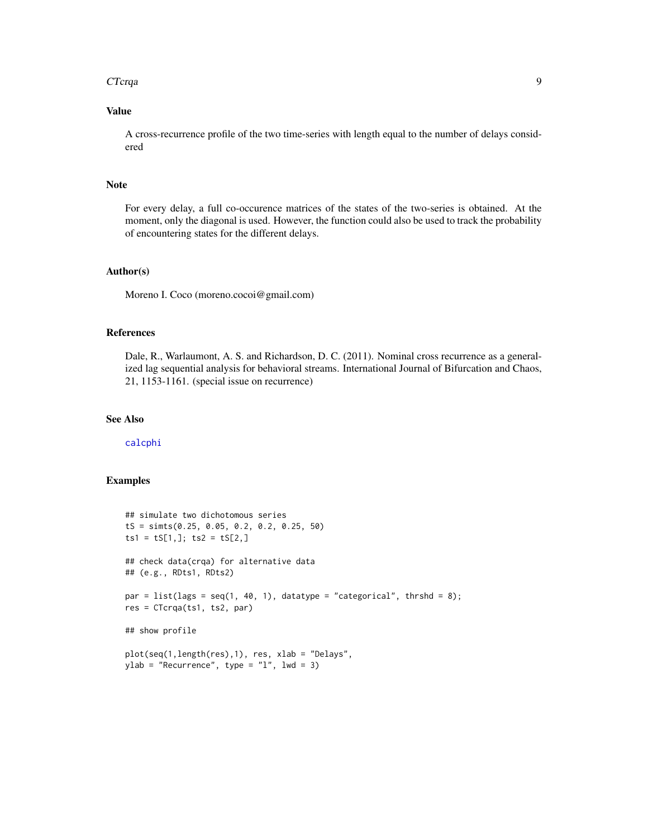#### <span id="page-8-0"></span>CTcrqa *9*

#### Value

A cross-recurrence profile of the two time-series with length equal to the number of delays considered

#### Note

For every delay, a full co-occurence matrices of the states of the two-series is obtained. At the moment, only the diagonal is used. However, the function could also be used to track the probability of encountering states for the different delays.

#### Author(s)

Moreno I. Coco (moreno.cocoi@gmail.com)

#### References

Dale, R., Warlaumont, A. S. and Richardson, D. C. (2011). Nominal cross recurrence as a generalized lag sequential analysis for behavioral streams. International Journal of Bifurcation and Chaos, 21, 1153-1161. (special issue on recurrence)

#### See Also

[calcphi](#page-2-1)

#### Examples

```
## simulate two dichotomous series
tS = simts(0.25, 0.05, 0.2, 0.2, 0.25, 50)
ts1 = tS[1,]; ts2 = tS[2,]## check data(crqa) for alternative data
## (e.g., RDts1, RDts2)
par = list(lags = seq(1, 40, 1), datatype = "categorical", thrshd = 8);
res = CTcrqa(ts1, ts2, par)
## show profile
plot(seq(1,length(res),1), res, xlab = "Delays",
ylab = "Recurrency", type = "l", lwd = 3)
```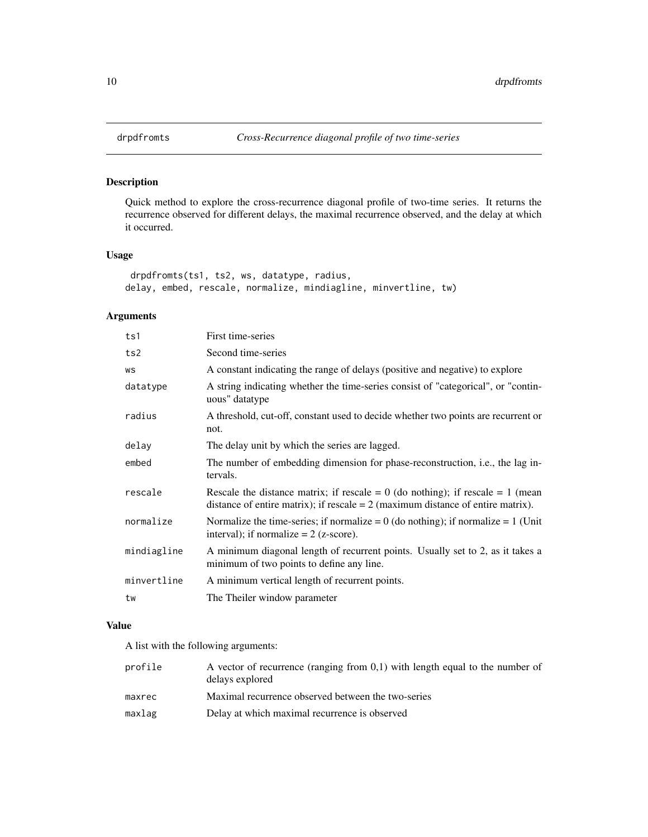#### Description

Quick method to explore the cross-recurrence diagonal profile of two-time series. It returns the recurrence observed for different delays, the maximal recurrence observed, and the delay at which it occurred.

### Usage

```
drpdfromts(ts1, ts2, ws, datatype, radius,
delay, embed, rescale, normalize, mindiagline, minvertline, tw)
```
#### Arguments

| ts1         | First time-series                                                                                                                                                       |
|-------------|-------------------------------------------------------------------------------------------------------------------------------------------------------------------------|
| ts2         | Second time-series                                                                                                                                                      |
| WS          | A constant indicating the range of delays (positive and negative) to explore                                                                                            |
| datatype    | A string indicating whether the time-series consist of "categorical", or "contin-<br>uous" datatype                                                                     |
| radius      | A threshold, cut-off, constant used to decide whether two points are recurrent or<br>not.                                                                               |
| delay       | The delay unit by which the series are lagged.                                                                                                                          |
| embed       | The number of embedding dimension for phase-reconstruction, i.e., the lag in-<br>tervals.                                                                               |
| rescale     | Rescale the distance matrix; if rescale = $0$ (do nothing); if rescale = $1$ (mean<br>distance of entire matrix); if rescale $= 2$ (maximum distance of entire matrix). |
| normalize   | Normalize the time-series; if normalize = $0$ (do nothing); if normalize = $1$ (Unit<br>interval); if normalize $= 2$ (z-score).                                        |
| mindiagline | A minimum diagonal length of recurrent points. Usually set to 2, as it takes a<br>minimum of two points to define any line.                                             |
| minvertline | A minimum vertical length of recurrent points.                                                                                                                          |
| tw          | The Theiler window parameter                                                                                                                                            |

#### Value

A list with the following arguments:

| profile | A vector of recurrence (ranging from $0,1$ ) with length equal to the number of<br>delays explored |
|---------|----------------------------------------------------------------------------------------------------|
| maxrec  | Maximal recurrence observed between the two-series                                                 |
| maxlag  | Delay at which maximal recurrence is observed                                                      |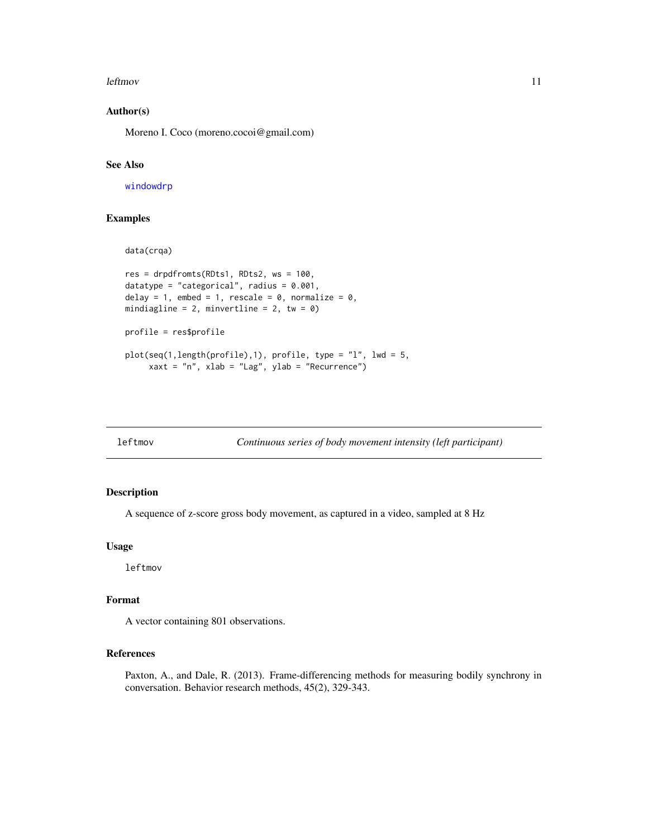#### <span id="page-10-0"></span>leftmov and the state of the state of the state of the state of the state of the state of the state of the state of the state of the state of the state of the state of the state of the state of the state of the state of th

#### Author(s)

Moreno I. Coco (moreno.cocoi@gmail.com)

#### See Also

[windowdrp](#page-25-1)

data(crqa)

#### Examples

```
res = drpdfromts(RDts1, RDts2, ws = 100,
datatype = "categorical", radius = 0.001,
delay = 1, embed = 1, rescale = 0, normalize = 0,
mindiagline = 2, minvertline = 2, tw = \theta)
profile = res$profile
plot(seq(1,length(profile),1), profile, type = "l", lwd = 5,
     xaxt = "n", xlab = "Lag", ylab = "Recurrence")
```
leftmov *Continuous series of body movement intensity (left participant)*

#### Description

A sequence of z-score gross body movement, as captured in a video, sampled at 8 Hz

#### Usage

leftmov

#### Format

A vector containing 801 observations.

#### References

Paxton, A., and Dale, R. (2013). Frame-differencing methods for measuring bodily synchrony in conversation. Behavior research methods, 45(2), 329-343.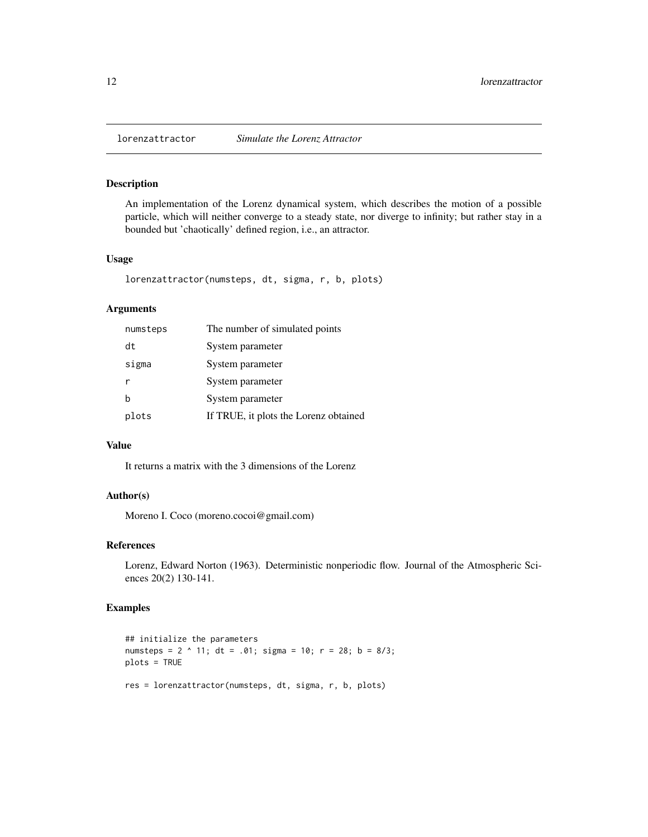<span id="page-11-0"></span>

#### Description

An implementation of the Lorenz dynamical system, which describes the motion of a possible particle, which will neither converge to a steady state, nor diverge to infinity; but rather stay in a bounded but 'chaotically' defined region, i.e., an attractor.

#### Usage

lorenzattractor(numsteps, dt, sigma, r, b, plots)

#### Arguments

| numsteps    | The number of simulated points        |
|-------------|---------------------------------------|
| dt          | System parameter                      |
| sigma       | System parameter                      |
| r           | System parameter                      |
| $\mathbf b$ | System parameter                      |
| plots       | If TRUE, it plots the Lorenz obtained |

#### Value

It returns a matrix with the 3 dimensions of the Lorenz

#### Author(s)

Moreno I. Coco (moreno.cocoi@gmail.com)

#### References

Lorenz, Edward Norton (1963). Deterministic nonperiodic flow. Journal of the Atmospheric Sciences 20(2) 130-141.

#### Examples

```
## initialize the parameters
numsteps = 2 \land 11; dt = .01; sigma = 10; r = 28; b = 8/3;
plots = TRUE
```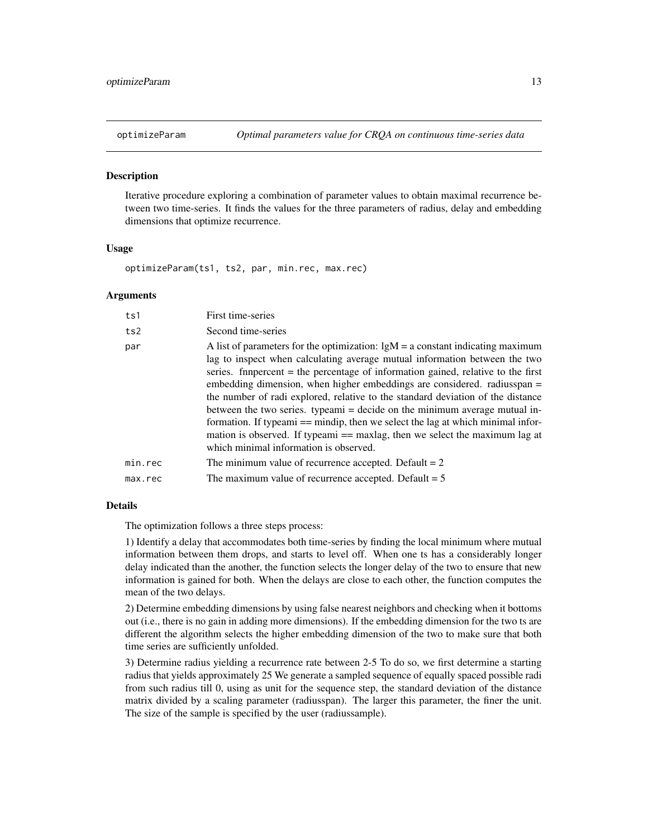<span id="page-12-0"></span>

#### **Description**

Iterative procedure exploring a combination of parameter values to obtain maximal recurrence between two time-series. It finds the values for the three parameters of radius, delay and embedding dimensions that optimize recurrence.

#### Usage

optimizeParam(ts1, ts2, par, min.rec, max.rec)

#### Arguments

| ts1     | First time-series                                                                                                                                                                                                                                                                                                                                                                                                                                                                                                                                                                                                                                                                                             |
|---------|---------------------------------------------------------------------------------------------------------------------------------------------------------------------------------------------------------------------------------------------------------------------------------------------------------------------------------------------------------------------------------------------------------------------------------------------------------------------------------------------------------------------------------------------------------------------------------------------------------------------------------------------------------------------------------------------------------------|
| ts2     | Second time-series                                                                                                                                                                                                                                                                                                                                                                                                                                                                                                                                                                                                                                                                                            |
| par     | A list of parameters for the optimization: $lgM = a$ constant indicating maximum<br>lag to inspect when calculating average mutual information between the two<br>series. finance from the percentage of information gained, relative to the first<br>embedding dimension, when higher embeddings are considered. radiusspan =<br>the number of radi explored, relative to the standard deviation of the distance<br>between the two series. typeami = decide on the minimum average mutual in-<br>formation. If typeami $==$ mindip, then we select the lag at which minimal infor-<br>mation is observed. If typeami == maxlag, then we select the maximum lag at<br>which minimal information is observed. |
| min.rec | The minimum value of recurrence accepted. Default $= 2$                                                                                                                                                                                                                                                                                                                                                                                                                                                                                                                                                                                                                                                       |
| max.rec | The maximum value of recurrence accepted. Default $= 5$                                                                                                                                                                                                                                                                                                                                                                                                                                                                                                                                                                                                                                                       |

#### Details

The optimization follows a three steps process:

1) Identify a delay that accommodates both time-series by finding the local minimum where mutual information between them drops, and starts to level off. When one ts has a considerably longer delay indicated than the another, the function selects the longer delay of the two to ensure that new information is gained for both. When the delays are close to each other, the function computes the mean of the two delays.

2) Determine embedding dimensions by using false nearest neighbors and checking when it bottoms out (i.e., there is no gain in adding more dimensions). If the embedding dimension for the two ts are different the algorithm selects the higher embedding dimension of the two to make sure that both time series are sufficiently unfolded.

3) Determine radius yielding a recurrence rate between 2-5 To do so, we first determine a starting radius that yields approximately 25 We generate a sampled sequence of equally spaced possible radi from such radius till 0, using as unit for the sequence step, the standard deviation of the distance matrix divided by a scaling parameter (radiusspan). The larger this parameter, the finer the unit. The size of the sample is specified by the user (radiussample).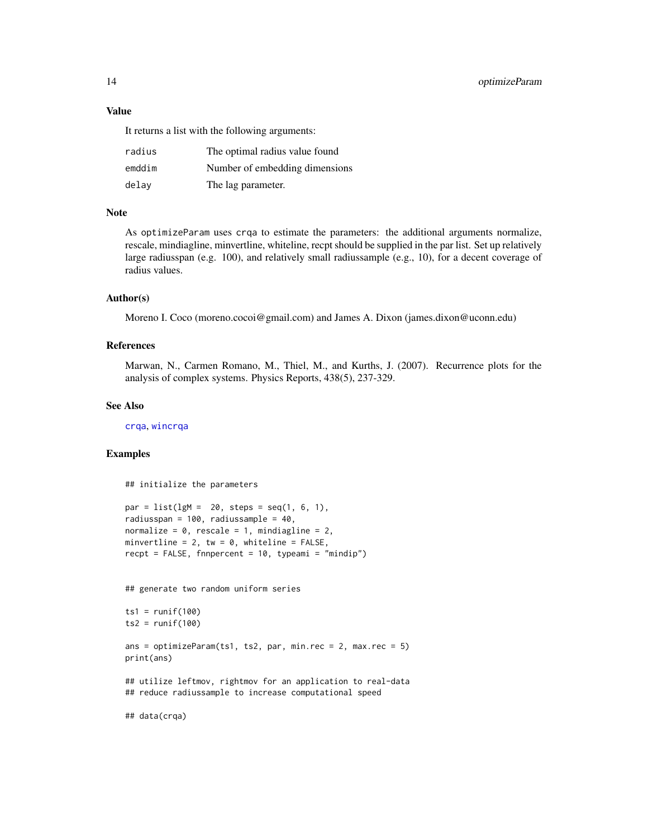#### <span id="page-13-0"></span>Value

It returns a list with the following arguments:

| radius | The optimal radius value found |
|--------|--------------------------------|
| emddim | Number of embedding dimensions |
| delay  | The lag parameter.             |

#### **Note**

As optimizeParam uses crqa to estimate the parameters: the additional arguments normalize, rescale, mindiagline, minvertline, whiteline, recpt should be supplied in the par list. Set up relatively large radiusspan (e.g. 100), and relatively small radiussample (e.g., 10), for a decent coverage of radius values.

#### Author(s)

Moreno I. Coco (moreno.cocoi@gmail.com) and James A. Dixon (james.dixon@uconn.edu)

#### References

Marwan, N., Carmen Romano, M., Thiel, M., and Kurths, J. (2007). Recurrence plots for the analysis of complex systems. Physics Reports, 438(5), 237-329.

#### See Also

[crqa](#page-5-1), [wincrqa](#page-23-1)

#### Examples

## initialize the parameters

```
par = list(lgM = 20, steps = seq(1, 6, 1),radiusspan = 100, radiussample = 40,
normalize = 0, rescale = 1, mindiagline = 2,
minvertline = 2, tw = \theta, whiteline = FALSE,
recpt = FALSE, fnnpercent = 10, typeami = "mindip")
```
## generate two random uniform series

```
ts1 = runif(100)ts2 = runif(100)
```
ans = optimizeParam(ts1, ts2, par, min.rec = 2, max.rec = 5) print(ans)

## utilize leftmov, rightmov for an application to real-data ## reduce radiussample to increase computational speed

## data(crqa)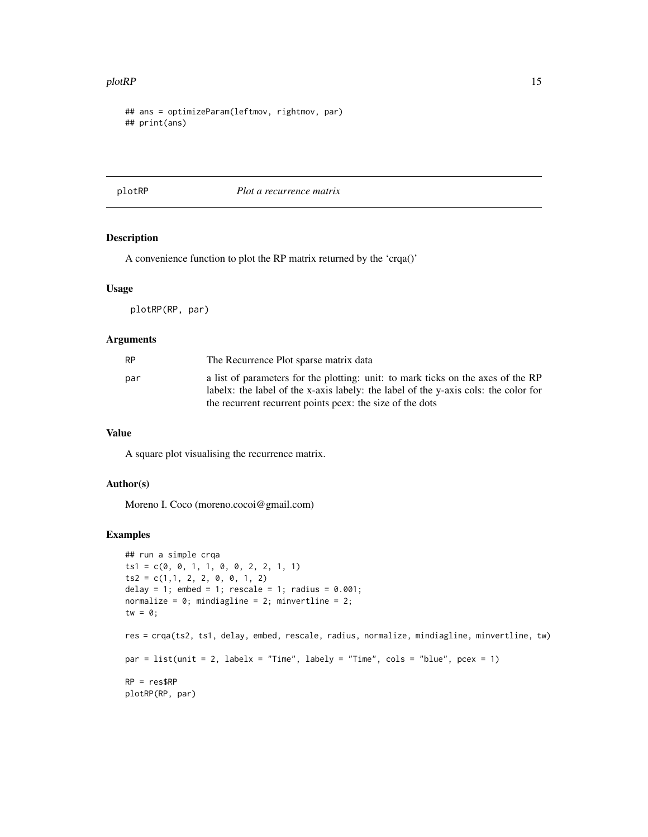#### <span id="page-14-0"></span>plotRP 15

```
## ans = optimizeParam(leftmov, rightmov, par)
## print(ans)
```
plotRP *Plot a recurrence matrix*

#### Description

A convenience function to plot the RP matrix returned by the 'crqa()'

#### Usage

plotRP(RP, par)

#### Arguments

| RP  | The Recurrence Plot sparse matrix data                                                                                                                                                                                               |
|-----|--------------------------------------------------------------------------------------------------------------------------------------------------------------------------------------------------------------------------------------|
| par | a list of parameters for the plotting: unit: to mark ticks on the axes of the RP<br>labelx: the label of the x-axis labely: the label of the y-axis cols: the color for<br>the recurrent recurrent points pcex: the size of the dots |

#### Value

A square plot visualising the recurrence matrix.

#### Author(s)

Moreno I. Coco (moreno.cocoi@gmail.com)

#### Examples

```
## run a simple crqa
ts1 = c(0, 0, 1, 1, 0, 0, 2, 2, 1, 1)ts2 = c(1,1, 2, 2, 0, 0, 1, 2)delay = 1; embed = 1; rescale = 1; radius = 0.001;
normalize = 0; mindiagline = 2; minvertline = 2;
tw = \theta;
res = crqa(ts2, ts1, delay, embed, rescale, radius, normalize, mindiagline, minvertline, tw)
par = list(unit = 2, labelx = "Time", labely = "Time", cols = "blue", pcex = 1)
RP = res$RP
plotRP(RP, par)
```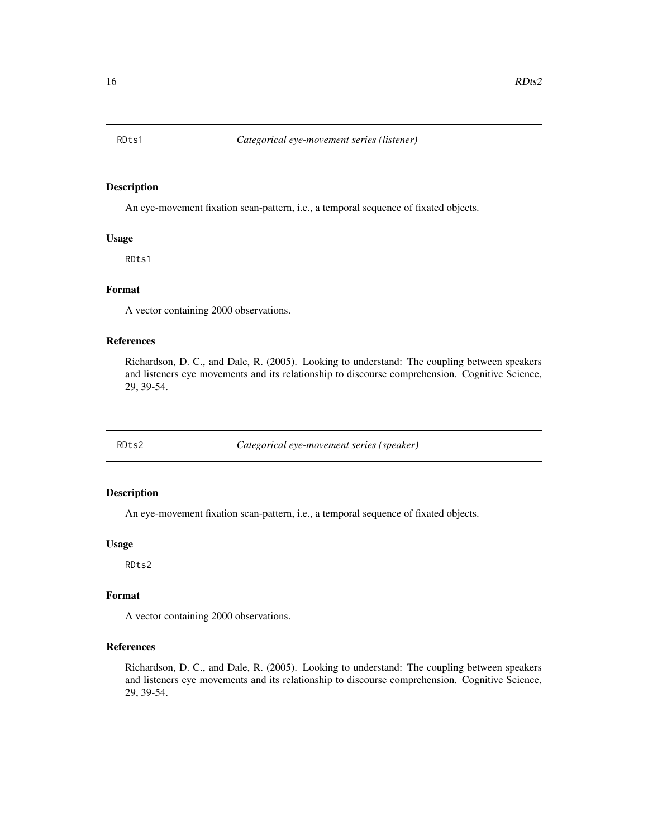<span id="page-15-0"></span>

#### Description

An eye-movement fixation scan-pattern, i.e., a temporal sequence of fixated objects.

#### Usage

RDts1

#### Format

A vector containing 2000 observations.

#### References

Richardson, D. C., and Dale, R. (2005). Looking to understand: The coupling between speakers and listeners eye movements and its relationship to discourse comprehension. Cognitive Science, 29, 39-54.

RDts2 *Categorical eye-movement series (speaker)*

#### Description

An eye-movement fixation scan-pattern, i.e., a temporal sequence of fixated objects.

#### Usage

RDts2

#### Format

A vector containing 2000 observations.

#### References

Richardson, D. C., and Dale, R. (2005). Looking to understand: The coupling between speakers and listeners eye movements and its relationship to discourse comprehension. Cognitive Science, 29, 39-54.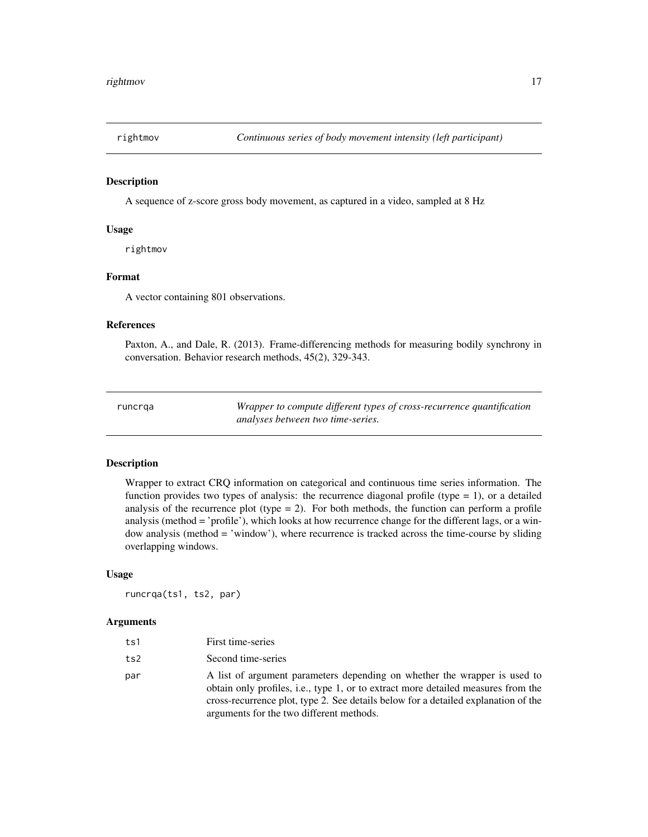<span id="page-16-0"></span>

#### Description

A sequence of z-score gross body movement, as captured in a video, sampled at 8 Hz

#### Usage

rightmov

#### Format

A vector containing 801 observations.

#### References

Paxton, A., and Dale, R. (2013). Frame-differencing methods for measuring bodily synchrony in conversation. Behavior research methods, 45(2), 329-343.

<span id="page-16-1"></span>

| runcrqa |  |  |
|---------|--|--|
|---------|--|--|

Wrapper to compute different types of cross-recurrence quantification *analyses between two time-series.*

#### Description

Wrapper to extract CRQ information on categorical and continuous time series information. The function provides two types of analysis: the recurrence diagonal profile (type  $= 1$ ), or a detailed analysis of the recurrence plot (type  $= 2$ ). For both methods, the function can perform a profile analysis (method = 'profile'), which looks at how recurrence change for the different lags, or a window analysis (method = 'window'), where recurrence is tracked across the time-course by sliding overlapping windows.

#### Usage

runcrqa(ts1, ts2, par)

| ts1 | First time-series                                                                                                                                                                                                                                                                                |
|-----|--------------------------------------------------------------------------------------------------------------------------------------------------------------------------------------------------------------------------------------------------------------------------------------------------|
| ts2 | Second time-series                                                                                                                                                                                                                                                                               |
| par | A list of argument parameters depending on whether the wrapper is used to<br>obtain only profiles, i.e., type 1, or to extract more detailed measures from the<br>cross-recurrence plot, type 2. See details below for a detailed explanation of the<br>arguments for the two different methods. |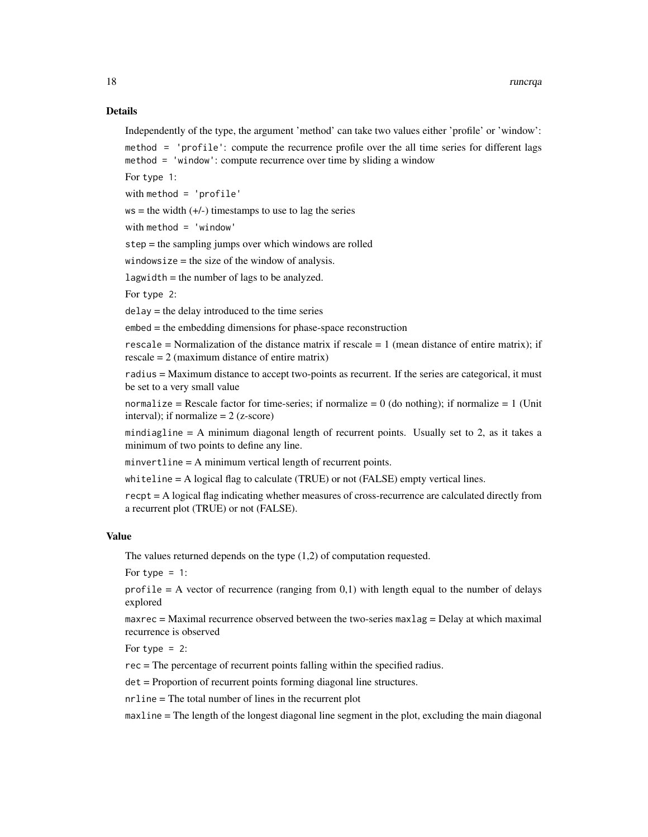#### Details

Independently of the type, the argument 'method' can take two values either 'profile' or 'window': method = 'profile': compute the recurrence profile over the all time series for different lags method = 'window': compute recurrence over time by sliding a window

For type 1:

with method = 'profile'

 $ws =$  the width  $(+/-)$  timestamps to use to lag the series

with method = 'window'

step = the sampling jumps over which windows are rolled

windowsize = the size of the window of analysis.

lagwidth = the number of lags to be analyzed.

For type 2:

delay = the delay introduced to the time series

embed = the embedding dimensions for phase-space reconstruction

rescale = Normalization of the distance matrix if rescale =  $1$  (mean distance of entire matrix); if rescale = 2 (maximum distance of entire matrix)

radius = Maximum distance to accept two-points as recurrent. If the series are categorical, it must be set to a very small value

normalize = Rescale factor for time-series; if normalize =  $0$  (do nothing); if normalize =  $1$  (Unit interval); if normalize  $= 2$  (z-score)

mindiagline = A minimum diagonal length of recurrent points. Usually set to 2, as it takes a minimum of two points to define any line.

minvertline = A minimum vertical length of recurrent points.

whiteline = A logical flag to calculate (TRUE) or not (FALSE) empty vertical lines.

recpt = A logical flag indicating whether measures of cross-recurrence are calculated directly from a recurrent plot (TRUE) or not (FALSE).

#### Value

The values returned depends on the type (1,2) of computation requested.

For type  $= 1$ :

profile  $= A$  vector of recurrence (ranging from 0,1) with length equal to the number of delays explored

maxrec = Maximal recurrence observed between the two-series maxlag = Delay at which maximal recurrence is observed

For type  $= 2$ :

rec = The percentage of recurrent points falling within the specified radius.

det = Proportion of recurrent points forming diagonal line structures.

nrline = The total number of lines in the recurrent plot

maxline = The length of the longest diagonal line segment in the plot, excluding the main diagonal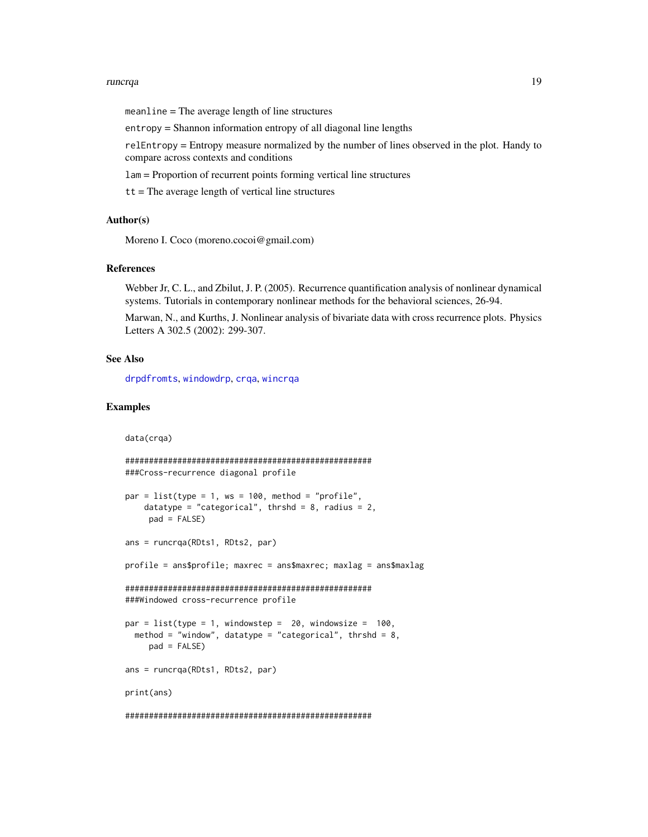#### <span id="page-18-0"></span>runcrqa and the control of the control of the control of the control of the control of the control of the control of the control of the control of the control of the control of the control of the control of the control of

meanline = The average length of line structures

entropy = Shannon information entropy of all diagonal line lengths

relEntropy = Entropy measure normalized by the number of lines observed in the plot. Handy to compare across contexts and conditions

lam = Proportion of recurrent points forming vertical line structures

 $tt$  = The average length of vertical line structures

#### Author(s)

Moreno I. Coco (moreno.cocoi@gmail.com)

#### References

Webber Jr, C. L., and Zbilut, J. P. (2005). Recurrence quantification analysis of nonlinear dynamical systems. Tutorials in contemporary nonlinear methods for the behavioral sciences, 26-94.

Marwan, N., and Kurths, J. Nonlinear analysis of bivariate data with cross recurrence plots. Physics Letters A 302.5 (2002): 299-307.

#### See Also

[drpdfromts](#page-9-1), [windowdrp](#page-25-1), [crqa](#page-5-1), [wincrqa](#page-23-1)

#### Examples

```
data(crqa)
```

```
####################################################
###Cross-recurrence diagonal profile
par = list(type = 1, ws = 100, method = "profile".datatype = "categorical", thrshd = 8, radius = 2,
    pad = FALSE)
ans = runcrqa(RDts1, RDts2, par)
profile = ans$profile; maxrec = ans$maxrec; maxlag = ans$maxlag
####################################################
###Windowed cross-recurrence profile
par = list(type = 1, windowstep = 20, windowsize = 100,method = "window", datatype = "categorical", thrshd = 8,
    pad = FALSE)
ans = runcrqa(RDts1, RDts2, par)
print(ans)
####################################################
```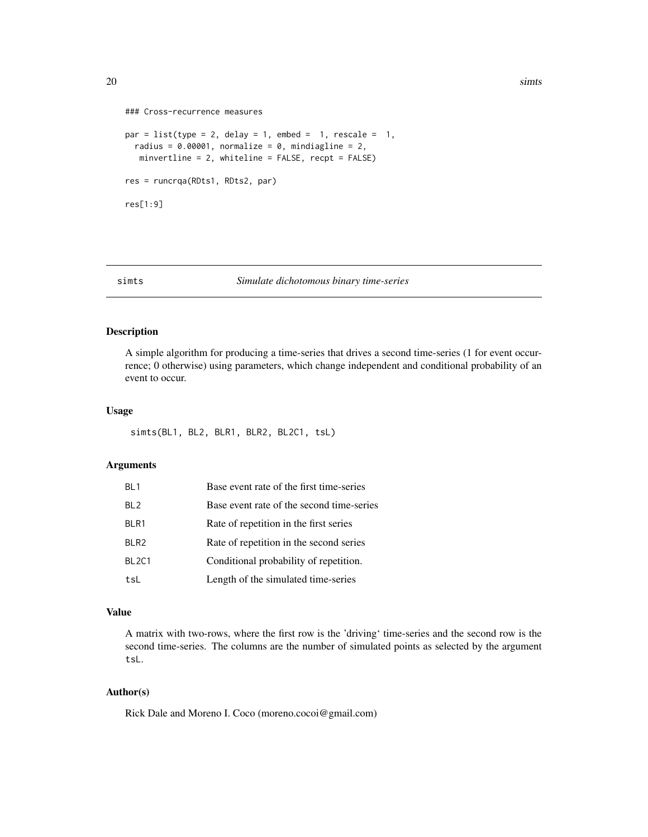```
### Cross-recurrence measures
par = list(type = 2, delay = 1, embed = 1, rescale = 1,
 radius = 0.00001, normalize = 0, mindiagline = 2,
  minvertline = 2, whiteline = FALSE, recpt = FALSE)
res = runcrqa(RDts1, RDts2, par)
res[1:9]
```
#### <span id="page-19-1"></span>simts *Simulate dichotomous binary time-series*

#### Description

A simple algorithm for producing a time-series that drives a second time-series (1 for event occurrence; 0 otherwise) using parameters, which change independent and conditional probability of an event to occur.

#### Usage

```
simts(BL1, BL2, BLR1, BLR2, BL2C1, tsL)
```
#### Arguments

| BL <sub>1</sub>   | Base event rate of the first time-series  |
|-------------------|-------------------------------------------|
| BL <sub>2</sub>   | Base event rate of the second time-series |
| BLR1              | Rate of repetition in the first series    |
| BLR <sub>2</sub>  | Rate of repetition in the second series   |
| BL <sub>2C1</sub> | Conditional probability of repetition.    |
| tsL               | Length of the simulated time-series       |

#### Value

A matrix with two-rows, where the first row is the 'driving' time-series and the second row is the second time-series. The columns are the number of simulated points as selected by the argument tsL.

#### Author(s)

Rick Dale and Moreno I. Coco (moreno.cocoi@gmail.com)

<span id="page-19-0"></span>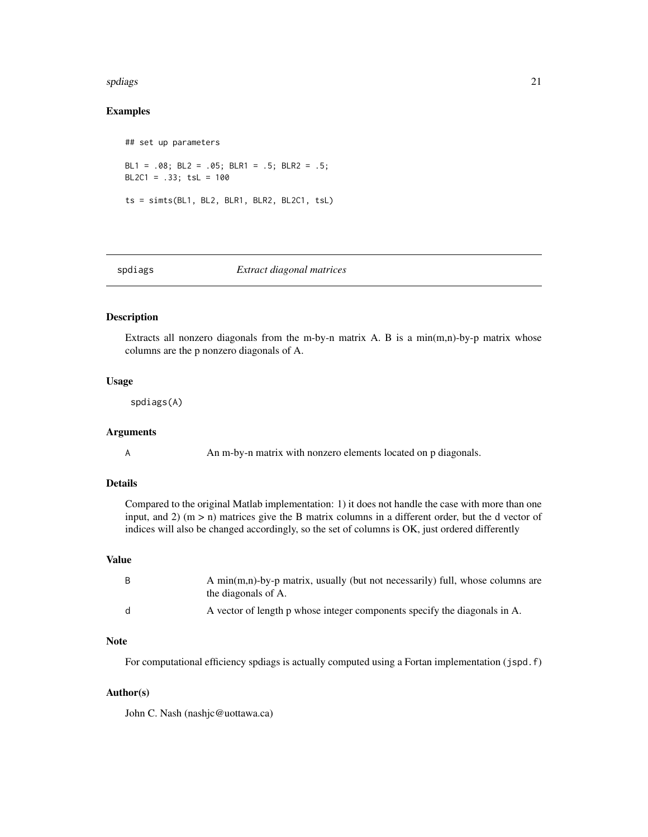#### <span id="page-20-0"></span>spdiags 21

#### Examples

```
## set up parameters
BL1 = .08; BL2 = .05; BLR1 = .5; BLR2 = .5;
BL2C1 = .33; tsL = 100ts = simts(BL1, BL2, BLR1, BLR2, BL2C1, tsL)
```
<span id="page-20-1"></span>

#### spdiags *Extract diagonal matrices*

#### Description

Extracts all nonzero diagonals from the m-by-n matrix A. B is a min $(m,n)$ -by-p matrix whose columns are the p nonzero diagonals of A.

#### Usage

spdiags(A)

#### Arguments

A **An m-by-n matrix with nonzero elements located on p diagonals.** 

#### Details

Compared to the original Matlab implementation: 1) it does not handle the case with more than one input, and 2) (m > n) matrices give the B matrix columns in a different order, but the d vector of indices will also be changed accordingly, so the set of columns is OK, just ordered differently

#### Value

| - B | A min(m,n)-by-p matrix, usually (but not necessarily) full, whose columns are<br>the diagonals of A. |
|-----|------------------------------------------------------------------------------------------------------|
| - d | A vector of length p whose integer components specify the diagonals in A.                            |

#### Note

For computational efficiency spdiags is actually computed using a Fortan implementation (jspd.f)

#### Author(s)

John C. Nash (nashjc@uottawa.ca)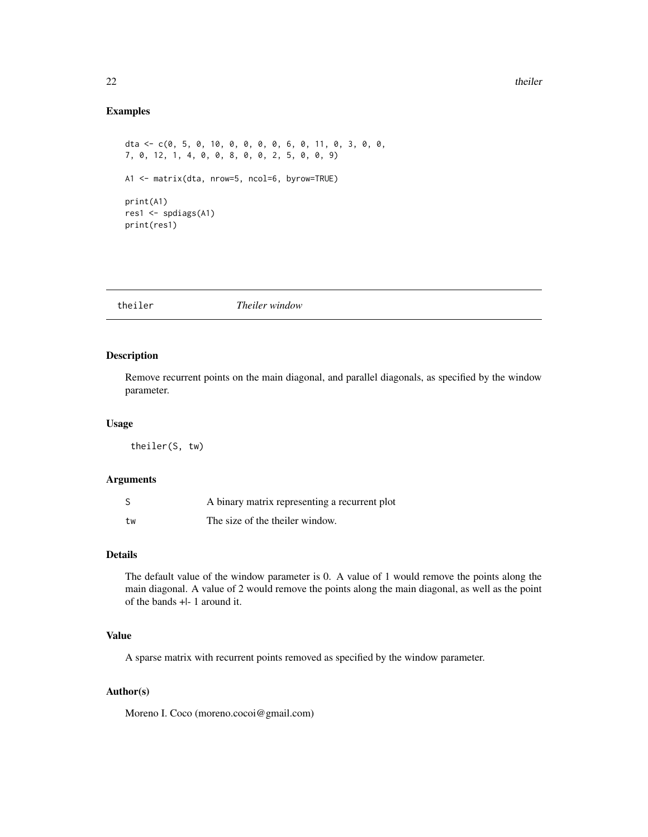#### <span id="page-21-0"></span>Examples

dta <- c(0, 5, 0, 10, 0, 0, 0, 0, 6, 0, 11, 0, 3, 0, 0, 7, 0, 12, 1, 4, 0, 0, 8, 0, 0, 2, 5, 0, 0, 9) A1 <- matrix(dta, nrow=5, ncol=6, byrow=TRUE) print(A1) res1 <- spdiags(A1) print(res1)

#### Description

Remove recurrent points on the main diagonal, and parallel diagonals, as specified by the window parameter.

#### Usage

theiler(S, tw)

#### Arguments

| S  | A binary matrix representing a recurrent plot |
|----|-----------------------------------------------|
| tw | The size of the theiler window.               |

#### Details

The default value of the window parameter is 0. A value of 1 would remove the points along the main diagonal. A value of 2 would remove the points along the main diagonal, as well as the point of the bands +|- 1 around it.

#### Value

A sparse matrix with recurrent points removed as specified by the window parameter.

#### Author(s)

Moreno I. Coco (moreno.cocoi@gmail.com)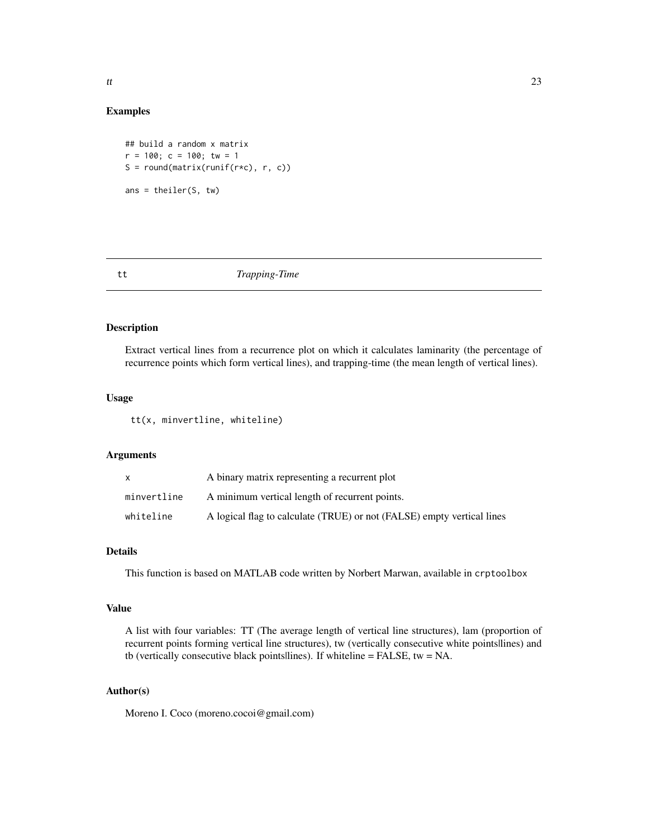<span id="page-22-0"></span>

#### Examples

```
## build a random x matrix
r = 100; c = 100; tw = 1S = round(matrix(runif(r*c), r, c))ans = theiler(S, tw)
```
#### <span id="page-22-1"></span>tt *Trapping-Time*

#### Description

Extract vertical lines from a recurrence plot on which it calculates laminarity (the percentage of recurrence points which form vertical lines), and trapping-time (the mean length of vertical lines).

#### Usage

tt(x, minvertline, whiteline)

#### Arguments

| X           | A binary matrix representing a recurrent plot                          |
|-------------|------------------------------------------------------------------------|
| minvertline | A minimum vertical length of recurrent points.                         |
| whiteline   | A logical flag to calculate (TRUE) or not (FALSE) empty vertical lines |

#### Details

This function is based on MATLAB code written by Norbert Marwan, available in crptoolbox

#### Value

A list with four variables: TT (The average length of vertical line structures), lam (proportion of recurrent points forming vertical line structures), tw (vertically consecutive white points|lines) and tb (vertically consecutive black points|lines). If whiteline = FALSE, tw = NA.

#### Author(s)

Moreno I. Coco (moreno.cocoi@gmail.com)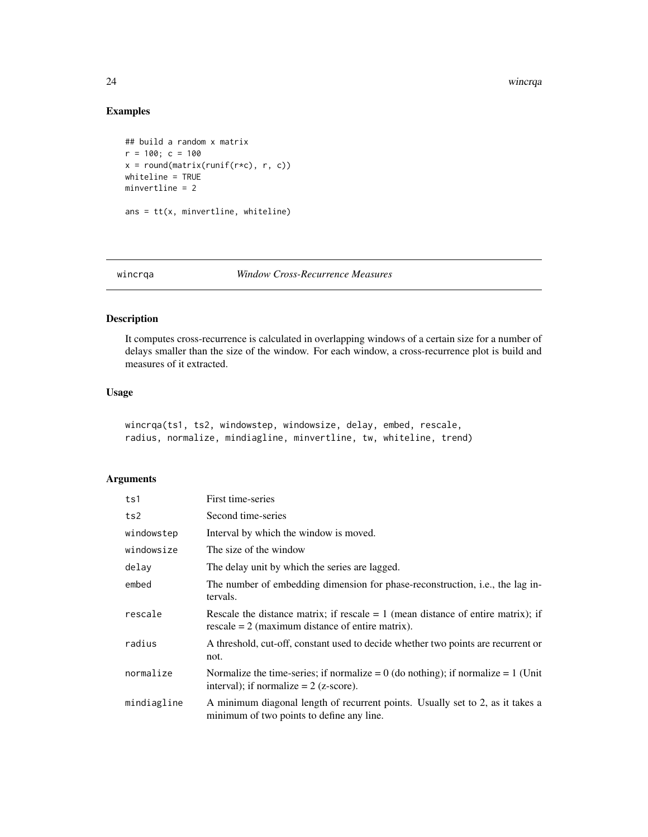#### 24 wincrqa

#### Examples

```
## build a random x matrix
r = 100; c = 100x = round(matrix(runif(r*c), r, c))whiteline = TRUE
minvertline = 2
ans = tt(x, minvertline, whiteline)
```
#### <span id="page-23-1"></span>wincrqa *Window Cross-Recurrence Measures*

#### Description

It computes cross-recurrence is calculated in overlapping windows of a certain size for a number of delays smaller than the size of the window. For each window, a cross-recurrence plot is build and measures of it extracted.

#### Usage

```
wincrqa(ts1, ts2, windowstep, windowsize, delay, embed, rescale,
radius, normalize, mindiagline, minvertline, tw, whiteline, trend)
```

| ts1         | First time-series                                                                                                                        |
|-------------|------------------------------------------------------------------------------------------------------------------------------------------|
| ts2         | Second time-series                                                                                                                       |
| windowstep  | Interval by which the window is moved.                                                                                                   |
| windowsize  | The size of the window                                                                                                                   |
| delay       | The delay unit by which the series are lagged.                                                                                           |
| embed       | The number of embedding dimension for phase-reconstruction, <i>i.e.</i> , the lag in-<br>tervals.                                        |
| rescale     | Rescale the distance matrix; if rescale $= 1$ (mean distance of entire matrix); if<br>rescale $= 2$ (maximum distance of entire matrix). |
| radius      | A threshold, cut-off, constant used to decide whether two points are recurrent or<br>not.                                                |
| normalize   | Normalize the time-series; if normalize = 0 (do nothing); if normalize = 1 (Unit<br>interval); if normalize $= 2$ (z-score).             |
| mindiagline | A minimum diagonal length of recurrent points. Usually set to 2, as it takes a<br>minimum of two points to define any line.              |

<span id="page-23-0"></span>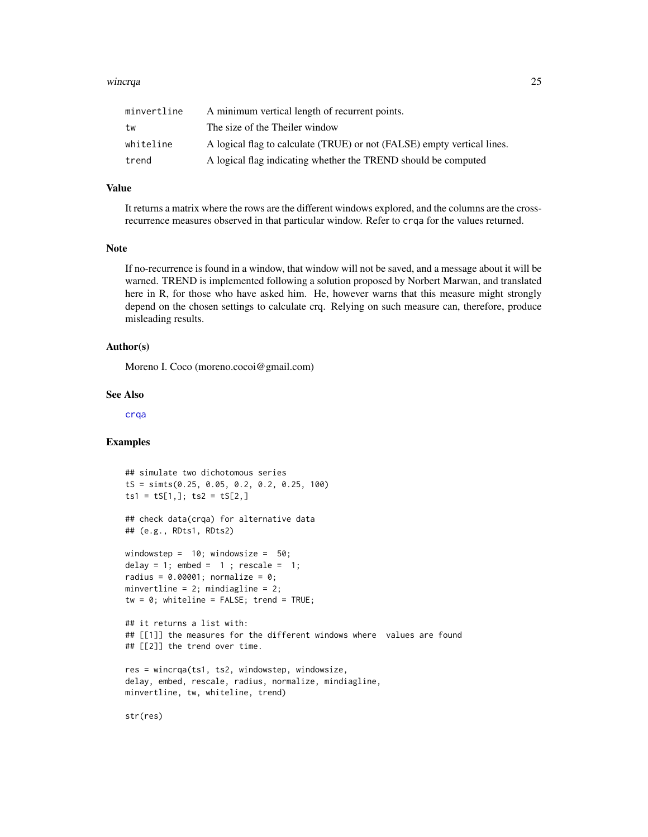#### <span id="page-24-0"></span>wincrqa and 25

| minvertline | A minimum vertical length of recurrent points.                          |
|-------------|-------------------------------------------------------------------------|
| tw          | The size of the Theiler window                                          |
| whiteline   | A logical flag to calculate (TRUE) or not (FALSE) empty vertical lines. |
| trend       | A logical flag indicating whether the TREND should be computed          |

#### Value

It returns a matrix where the rows are the different windows explored, and the columns are the crossrecurrence measures observed in that particular window. Refer to crqa for the values returned.

#### Note

If no-recurrence is found in a window, that window will not be saved, and a message about it will be warned. TREND is implemented following a solution proposed by Norbert Marwan, and translated here in R, for those who have asked him. He, however warns that this measure might strongly depend on the chosen settings to calculate crq. Relying on such measure can, therefore, produce misleading results.

#### Author(s)

Moreno I. Coco (moreno.cocoi@gmail.com)

#### See Also

[crqa](#page-5-1)

#### Examples

```
## simulate two dichotomous series
tS = simts(0.25, 0.05, 0.2, 0.2, 0.25, 100)
ts1 = tS[1,]; ts2 = tS[2,]## check data(crqa) for alternative data
## (e.g., RDts1, RDts2)
windowstep = 10; windowsize = 50;
delay = 1; embed = 1; rescale = 1;
radius = 0.00001; normalize = 0;
minvertline = 2; mindiagline = 2;
tw = 0; whiteline = FALSE; trend = TRUE;
## it returns a list with:
## [[1]] the measures for the different windows where values are found
## [[2]] the trend over time.
res = wincrqa(ts1, ts2, windowstep, windowsize,
delay, embed, rescale, radius, normalize, mindiagline,
minvertline, tw, whiteline, trend)
```
str(res)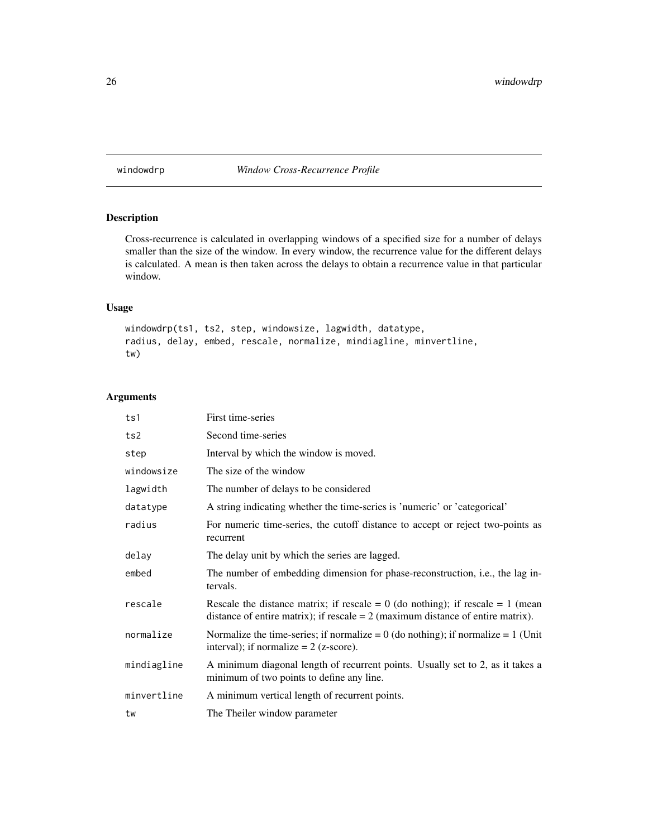<span id="page-25-1"></span><span id="page-25-0"></span>windowdrp *Window Cross-Recurrence Profile*

#### Description

Cross-recurrence is calculated in overlapping windows of a specified size for a number of delays smaller than the size of the window. In every window, the recurrence value for the different delays is calculated. A mean is then taken across the delays to obtain a recurrence value in that particular window.

#### Usage

```
windowdrp(ts1, ts2, step, windowsize, lagwidth, datatype,
radius, delay, embed, rescale, normalize, mindiagline, minvertline,
tw)
```

| ts1         | First time-series                                                                                                                                                       |
|-------------|-------------------------------------------------------------------------------------------------------------------------------------------------------------------------|
| ts2         | Second time-series                                                                                                                                                      |
| step        | Interval by which the window is moved.                                                                                                                                  |
| windowsize  | The size of the window                                                                                                                                                  |
| lagwidth    | The number of delays to be considered                                                                                                                                   |
| datatype    | A string indicating whether the time-series is 'numeric' or 'categorical'                                                                                               |
| radius      | For numeric time-series, the cutoff distance to accept or reject two-points as<br>recurrent                                                                             |
| delay       | The delay unit by which the series are lagged.                                                                                                                          |
| embed       | The number of embedding dimension for phase-reconstruction, <i>i.e.</i> , the lag in-<br>tervals.                                                                       |
| rescale     | Rescale the distance matrix; if rescale = $0$ (do nothing); if rescale = $1$ (mean<br>distance of entire matrix); if rescale $= 2$ (maximum distance of entire matrix). |
| normalize   | Normalize the time-series; if normalize = $0$ (do nothing); if normalize = $1$ (Unit<br>interval); if normalize $= 2$ (z-score).                                        |
| mindiagline | A minimum diagonal length of recurrent points. Usually set to 2, as it takes a<br>minimum of two points to define any line.                                             |
| minvertline | A minimum vertical length of recurrent points.                                                                                                                          |
| tw          | The Theiler window parameter                                                                                                                                            |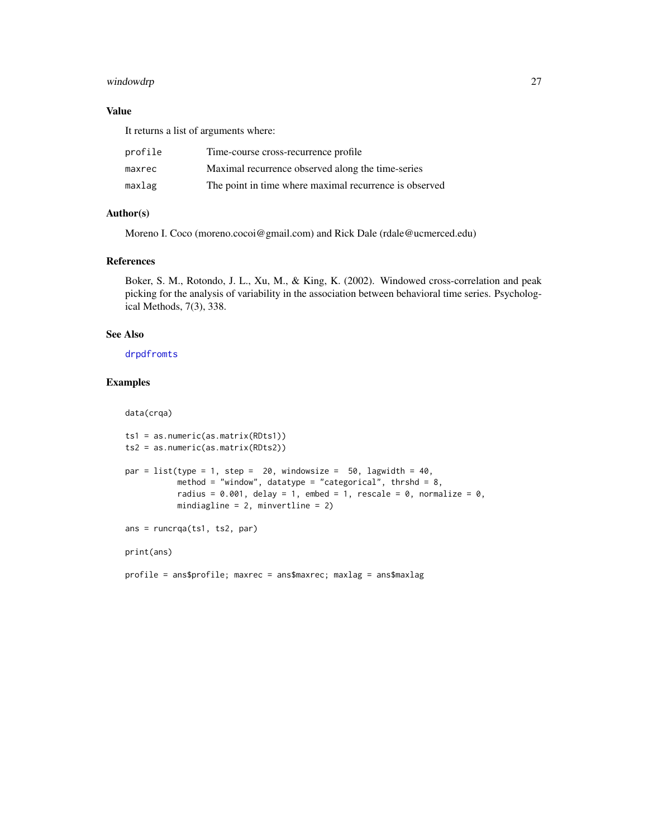#### <span id="page-26-0"></span>windowdrp 27

#### Value

It returns a list of arguments where:

| profile | Time-course cross-recurrence profile                   |
|---------|--------------------------------------------------------|
| maxrec  | Maximal recurrence observed along the time-series      |
| maxlag  | The point in time where maximal recurrence is observed |

#### Author(s)

Moreno I. Coco (moreno.cocoi@gmail.com) and Rick Dale (rdale@ucmerced.edu)

#### References

Boker, S. M., Rotondo, J. L., Xu, M., & King, K. (2002). Windowed cross-correlation and peak picking for the analysis of variability in the association between behavioral time series. Psychological Methods, 7(3), 338.

#### See Also

[drpdfromts](#page-9-1)

#### Examples

```
data(crqa)
ts1 = as.numeric(as.matrix(RDts1))
ts2 = as.numeric(as.matrix(RDts2))
par = list(type = 1, step = 20, windowsize = 50, lagwidth = 40,
           method = "window", datatype = "categorical", thrshd = 8,
           radius = 0.001, delay = 1, embed = 1, rescale = 0, normalize = 0,
          mindiagline = 2, minvertline = 2)
ans = runcrqa(ts1, ts2, par)
print(ans)
profile = ans$profile; maxrec = ans$maxrec; maxlag = ans$maxlag
```